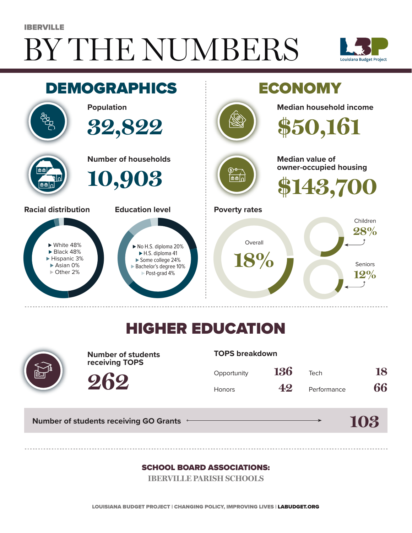# BY THE NUMBERS IBERVILLE





## HIGHER EDUCATION



**Number of students receiving TOPS**

### **TOPS breakdown**

| Opportunity   | 136 | Tech        | 18 |
|---------------|-----|-------------|----|
| <b>Honors</b> | 42  | Performance | 66 |

**Number of students receiving GO Grants**

**262**

**103**

### SCHOOL BOARD ASSOCIATIONS:

**IBERVILLE PARISH SCHOOLS**